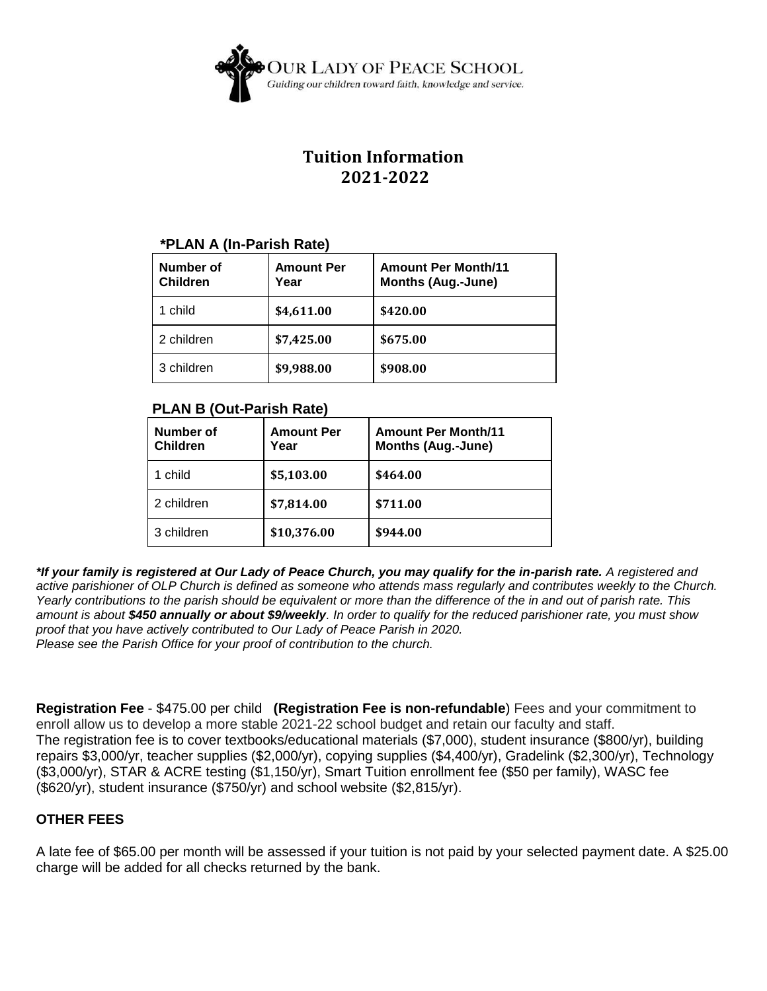

# **Tuition Information 2021-2022**

#### **\*PLAN A (In-Parish Rate)**

| Number of<br><b>Children</b> | <b>Amount Per</b><br>Year | <b>Amount Per Month/11</b><br><b>Months (Aug.-June)</b> |
|------------------------------|---------------------------|---------------------------------------------------------|
| 1 child                      | \$4,611.00                | \$420.00                                                |
| 2 children                   | \$7,425.00                | \$675.00                                                |
| 3 children                   | \$9,988.00                | \$908.00                                                |

#### **PLAN B (Out-Parish Rate)**

| Number of<br><b>Children</b> | <b>Amount Per</b><br>Year | <b>Amount Per Month/11</b><br><b>Months (Aug.-June)</b> |
|------------------------------|---------------------------|---------------------------------------------------------|
| 1 child                      | \$5,103.00                | \$464.00                                                |
| 2 children                   | \$7,814.00                | \$711.00                                                |
| 3 children                   | \$10,376.00               | \$944.00                                                |

*\*If your family is registered at Our Lady of Peace Church, you may qualify for the in-parish rate. A registered and active parishioner of OLP Church is defined as someone who attends mass regularly and contributes weekly to the Church. Yearly contributions to the parish should be equivalent or more than the difference of the in and out of parish rate. This amount is about \$450 annually or about \$9/weekly. In order to qualify for the reduced parishioner rate, you must show proof that you have actively contributed to Our Lady of Peace Parish in 2020. Please see the Parish Office for your proof of contribution to the church.*

**Registration Fee** - \$475.00 per child **(Registration Fee is non-refundable**) Fees and your commitment to enroll allow us to develop a more stable 2021-22 school budget and retain our faculty and staff. The registration fee is to cover textbooks/educational materials (\$7,000), student insurance (\$800/yr), building repairs \$3,000/yr, teacher supplies (\$2,000/yr), copying supplies (\$4,400/yr), Gradelink (\$2,300/yr), Technology (\$3,000/yr), STAR & ACRE testing (\$1,150/yr), Smart Tuition enrollment fee (\$50 per family), WASC fee (\$620/yr), student insurance (\$750/yr) and school website (\$2,815/yr).

### **OTHER FEES**

A late fee of \$65.00 per month will be assessed if your tuition is not paid by your selected payment date. A \$25.00 charge will be added for all checks returned by the bank.